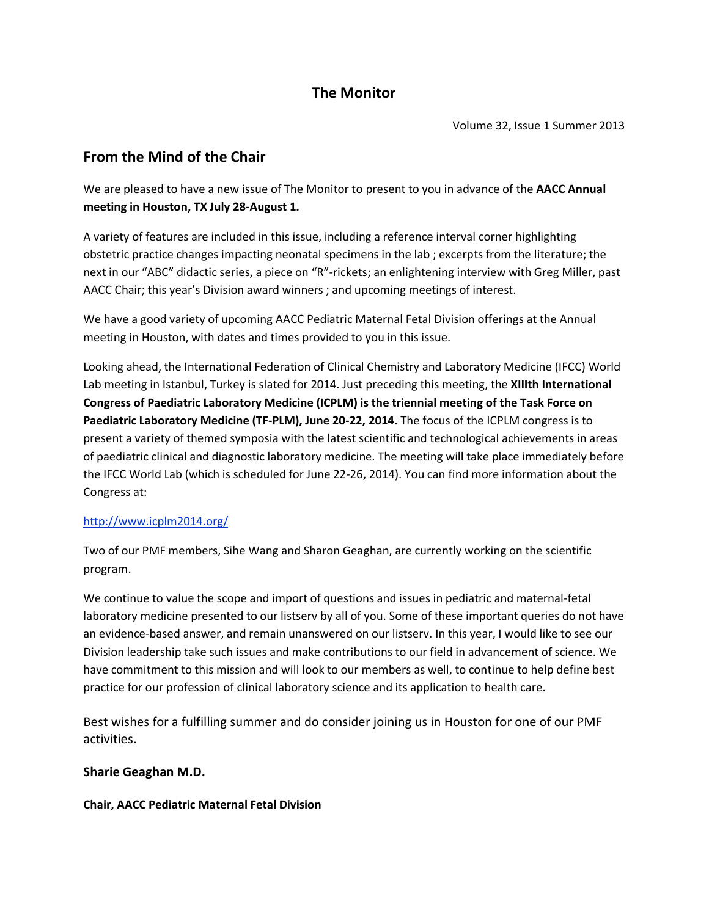## **The Monitor**

Volume 32, Issue 1 Summer 2013

# **From the Mind of the Chair**

We are pleased to have a new issue of The Monitor to present to you in advance of the **AACC Annual meeting in Houston, TX July 28-August 1.**

A variety of features are included in this issue, including a reference interval corner highlighting obstetric practice changes impacting neonatal specimens in the lab ; excerpts from the literature; the next in our "ABC" didactic series, a piece on "R"-rickets; an enlightening interview with Greg Miller, past AACC Chair; this year's Division award winners ; and upcoming meetings of interest.

We have a good variety of upcoming AACC Pediatric Maternal Fetal Division offerings at the Annual meeting in Houston, with dates and times provided to you in this issue.

Looking ahead, the International Federation of Clinical Chemistry and Laboratory Medicine (IFCC) World Lab meeting in Istanbul, Turkey is slated for 2014. Just preceding this meeting, the **XIIIth International Congress of Paediatric Laboratory Medicine (ICPLM) is the triennial meeting of the Task Force on Paediatric Laboratory Medicine (TF-PLM), June 20-22, 2014.** The focus of the ICPLM congress is to present a variety of themed symposia with the latest scientific and technological achievements in areas of paediatric clinical and diagnostic laboratory medicine. The meeting will take place immediately before the IFCC World Lab (which is scheduled for June 22-26, 2014). You can find more information about the Congress at:

### <http://www.icplm2014.org/>

Two of our PMF members, Sihe Wang and Sharon Geaghan, are currently working on the scientific program.

We continue to value the scope and import of questions and issues in pediatric and maternal-fetal laboratory medicine presented to our listserv by all of you. Some of these important queries do not have an evidence-based answer, and remain unanswered on our listserv. In this year, I would like to see our Division leadership take such issues and make contributions to our field in advancement of science. We have commitment to this mission and will look to our members as well, to continue to help define best practice for our profession of clinical laboratory science and its application to health care.

Best wishes for a fulfilling summer and do consider joining us in Houston for one of our PMF activities.

### **Sharie Geaghan M.D.**

#### **Chair, AACC Pediatric Maternal Fetal Division**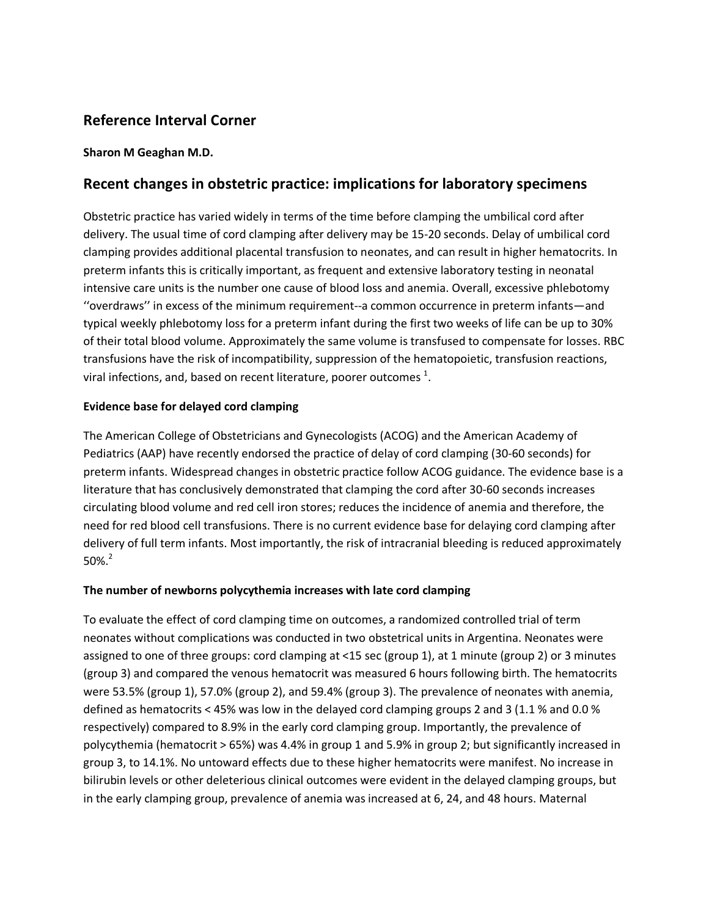### **Reference Interval Corner**

#### **Sharon M Geaghan M.D.**

### **Recent changes in obstetric practice: implications for laboratory specimens**

Obstetric practice has varied widely in terms of the time before clamping the umbilical cord after delivery. The usual time of cord clamping after delivery may be 15-20 seconds. Delay of umbilical cord clamping provides additional placental transfusion to neonates, and can result in higher hematocrits. In preterm infants this is critically important, as frequent and extensive laboratory testing in neonatal intensive care units is the number one cause of blood loss and anemia. Overall, excessive phlebotomy ''overdraws'' in excess of the minimum requirement--a common occurrence in preterm infants—and typical weekly phlebotomy loss for a preterm infant during the first two weeks of life can be up to 30% of their total blood volume. Approximately the same volume is transfused to compensate for losses. RBC transfusions have the risk of incompatibility, suppression of the hematopoietic, transfusion reactions, viral infections, and, based on recent literature, poorer outcomes  $^{1}$ .

#### **Evidence base for delayed cord clamping**

The American College of Obstetricians and Gynecologists (ACOG) and the American Academy of Pediatrics (AAP) have recently endorsed the practice of delay of cord clamping (30-60 seconds) for preterm infants. Widespread changes in obstetric practice follow ACOG guidance. The evidence base is a literature that has conclusively demonstrated that clamping the cord after 30-60 seconds increases circulating blood volume and red cell iron stores; reduces the incidence of anemia and therefore, the need for red blood cell transfusions. There is no current evidence base for delaying cord clamping after delivery of full term infants. Most importantly, the risk of intracranial bleeding is reduced approximately  $50\%$ <sup>2</sup>

#### **The number of newborns polycythemia increases with late cord clamping**

To evaluate the effect of cord clamping time on outcomes, a randomized controlled trial of term neonates without complications was conducted in two obstetrical units in Argentina. Neonates were assigned to one of three groups: cord clamping at <15 sec (group 1), at 1 minute (group 2) or 3 minutes (group 3) and compared the venous hematocrit was measured 6 hours following birth. The hematocrits were 53.5% (group 1), 57.0% (group 2), and 59.4% (group 3). The prevalence of neonates with anemia, defined as hematocrits < 45% was low in the delayed cord clamping groups 2 and 3 (1.1 % and 0.0 % respectively) compared to 8.9% in the early cord clamping group. Importantly, the prevalence of polycythemia (hematocrit > 65%) was 4.4% in group 1 and 5.9% in group 2; but significantly increased in group 3, to 14.1%. No untoward effects due to these higher hematocrits were manifest. No increase in bilirubin levels or other deleterious clinical outcomes were evident in the delayed clamping groups, but in the early clamping group, prevalence of anemia was increased at 6, 24, and 48 hours. Maternal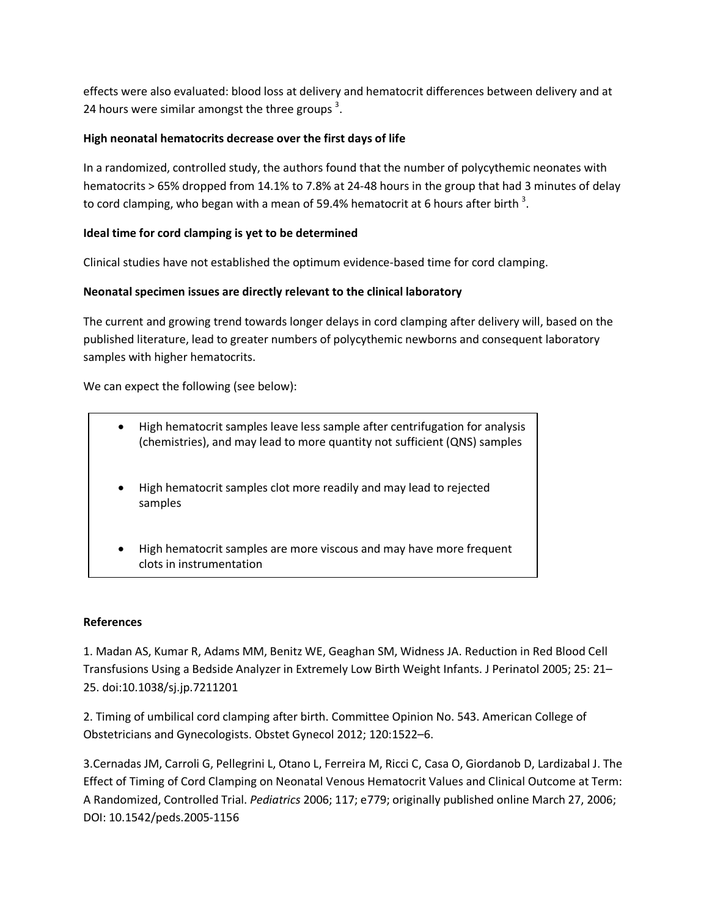effects were also evaluated: blood loss at delivery and hematocrit differences between delivery and at 24 hours were similar amongst the three groups<sup>3</sup>.

#### **High neonatal hematocrits decrease over the first days of life**

In a randomized, controlled study, the authors found that the number of polycythemic neonates with hematocrits > 65% dropped from 14.1% to 7.8% at 24-48 hours in the group that had 3 minutes of delay to cord clamping, who began with a mean of 59.4% hematocrit at 6 hours after birth  $^3$ .

#### **Ideal time for cord clamping is yet to be determined**

Clinical studies have not established the optimum evidence-based time for cord clamping.

#### **Neonatal specimen issues are directly relevant to the clinical laboratory**

The current and growing trend towards longer delays in cord clamping after delivery will, based on the published literature, lead to greater numbers of polycythemic newborns and consequent laboratory samples with higher hematocrits.

We can expect the following (see below):

- High hematocrit samples leave less sample after centrifugation for analysis (chemistries), and may lead to more quantity not sufficient (QNS) samples
- High hematocrit samples clot more readily and may lead to rejected samples
- High hematocrit samples are more viscous and may have more frequent clots in instrumentation

#### **References**

1. Madan AS, Kumar R, Adams MM, Benitz WE, Geaghan SM, Widness JA. Reduction in Red Blood Cell Transfusions Using a Bedside Analyzer in Extremely Low Birth Weight Infants. J Perinatol 2005; 25: 21– 25. doi:10.1038/sj.jp.7211201

2. Timing of umbilical cord clamping after birth. Committee Opinion No. 543. American College of Obstetricians and Gynecologists. Obstet Gynecol 2012; 120:1522–6.

3.Cernadas JM, Carroli G, Pellegrini L, Otano L, Ferreira M, Ricci C, Casa O, Giordanob D, Lardizabal J. The Effect of Timing of Cord Clamping on Neonatal Venous Hematocrit Values and Clinical Outcome at Term: A Randomized, Controlled Trial. *Pediatrics* 2006; 117; e779; originally published online March 27, 2006; DOI: 10.1542/peds.2005-1156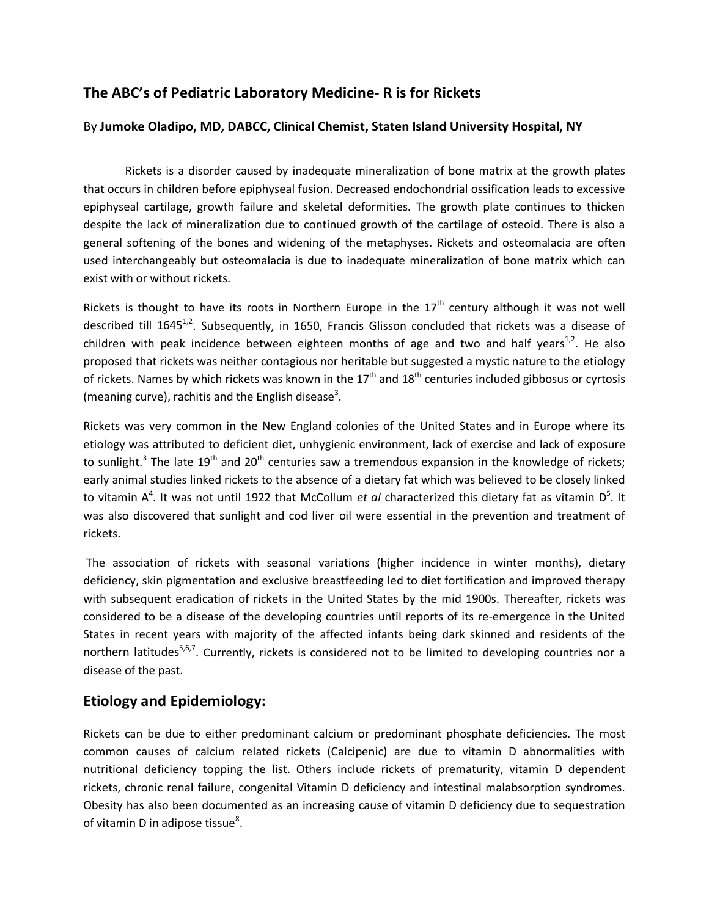### **The ABC's of Pediatric Laboratory Medicine- R is for Rickets**

#### By **Jumoke Oladipo, MD, DABCC, Clinical Chemist, Staten Island University Hospital, NY**

Rickets is a disorder caused by inadequate mineralization of bone matrix at the growth plates that occurs in children before epiphyseal fusion. Decreased endochondrial ossification leads to excessive epiphyseal cartilage, growth failure and skeletal deformities. The growth plate continues to thicken despite the lack of mineralization due to continued growth of the cartilage of osteoid. There is also a general softening of the bones and widening of the metaphyses. Rickets and osteomalacia are often used interchangeably but osteomalacia is due to inadequate mineralization of bone matrix which can exist with or without rickets.

Rickets is thought to have its roots in Northern Europe in the  $17<sup>th</sup>$  century although it was not well described till  $1645^{1,2}$ . Subsequently, in 1650, Francis Glisson concluded that rickets was a disease of children with peak incidence between eighteen months of age and two and half years $^{1,2}$ . He also proposed that rickets was neither contagious nor heritable but suggested a mystic nature to the etiology of rickets. Names by which rickets was known in the  $17<sup>th</sup>$  and  $18<sup>th</sup>$  centuries included gibbosus or cyrtosis (meaning curve), rachitis and the English disease<sup>3</sup>.

Rickets was very common in the New England colonies of the United States and in Europe where its etiology was attributed to deficient diet, unhygienic environment, lack of exercise and lack of exposure to sunlight.<sup>3</sup> The late 19<sup>th</sup> and 20<sup>th</sup> centuries saw a tremendous expansion in the knowledge of rickets; early animal studies linked rickets to the absence of a dietary fat which was believed to be closely linked to vitamin A<sup>4</sup>. It was not until 1922 that McCollum *et al* characterized this dietary fat as vitamin D<sup>5</sup>. It was also discovered that sunlight and cod liver oil were essential in the prevention and treatment of rickets.

The association of rickets with seasonal variations (higher incidence in winter months), dietary deficiency, skin pigmentation and exclusive breastfeeding led to diet fortification and improved therapy with subsequent eradication of rickets in the United States by the mid 1900s. Thereafter, rickets was considered to be a disease of the developing countries until reports of its re-emergence in the United States in recent years with majority of the affected infants being dark skinned and residents of the northern latitudes<sup>5,6,7</sup>. Currently, rickets is considered not to be limited to developing countries nor a disease of the past.

### **Etiology and Epidemiology:**

Rickets can be due to either predominant calcium or predominant phosphate deficiencies. The most common causes of calcium related rickets (Calcipenic) are due to vitamin D abnormalities with nutritional deficiency topping the list. Others include rickets of prematurity, vitamin D dependent rickets, chronic renal failure, congenital Vitamin D deficiency and intestinal malabsorption syndromes. Obesity has also been documented as an increasing cause of vitamin D deficiency due to sequestration of vitamin D in adipose tissue $^8$ .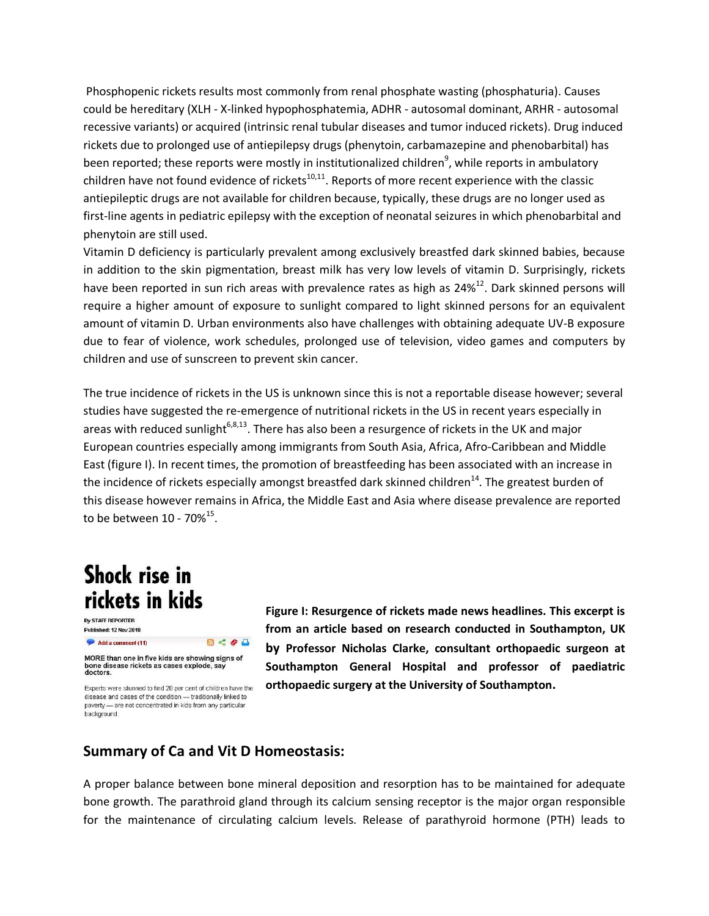Phosphopenic rickets results most commonly from renal phosphate wasting (phosphaturia). Causes could be hereditary (XLH - X-linked hypophosphatemia, ADHR - autosomal dominant, ARHR - autosomal recessive variants) or acquired (intrinsic renal tubular diseases and tumor induced rickets). Drug induced rickets due to prolonged use of antiepilepsy drugs (phenytoin, carbamazepine and phenobarbital) has been reported; these reports were mostly in institutionalized children<sup>9</sup>, while reports in ambulatory children have not found evidence of rickets $10,11$ . Reports of more recent experience with the classic antiepileptic drugs are not available for children because, typically, these drugs are no longer used as first-line agents in pediatric epilepsy with the exception of neonatal seizures in which phenobarbital and phenytoin are still used.

Vitamin D deficiency is particularly prevalent among exclusively breastfed dark skinned babies, because in addition to the skin pigmentation, breast milk has very low levels of vitamin D. Surprisingly, rickets have been reported in sun rich areas with prevalence rates as high as  $24\%^{12}$ . Dark skinned persons will require a higher amount of exposure to sunlight compared to light skinned persons for an equivalent amount of vitamin D. Urban environments also have challenges with obtaining adequate UV-B exposure due to fear of violence, work schedules, prolonged use of television, video games and computers by children and use of sunscreen to prevent skin cancer.

The true incidence of rickets in the US is unknown since this is not a reportable disease however; several studies have suggested the re-emergence of nutritional rickets in the US in recent years especially in areas with reduced sunlight<sup>6,8,13</sup>. There has also been a resurgence of rickets in the UK and major European countries especially among immigrants from South Asia, Africa, Afro-Caribbean and Middle East (figure I). In recent times, the promotion of breastfeeding has been associated with an increase in the incidence of rickets especially amongst breastfed dark skinned children<sup>14</sup>. The greatest burden of this disease however remains in Africa, the Middle East and Asia where disease prevalence are reported to be between  $10 - 70\%^{15}$ .

# **Shock rise in** rickets in kids

**By STAFF REPORTER** Published: 12 Nov 2010  $R < 4A$ Add a comment (11)

MORE than one in five kids are showing signs of<br>bone disease rickets as cases explode, say<br>doctors. Experts were stunned to find 20 per cent of children have the

disease and cases of the condition - traditionally linked to poverty - are not concentrated in kids from any particular .<br>background.

**Figure I: Resurgence of rickets made news headlines. This excerpt is from an article based on research conducted in Southampton, UK by Professor Nicholas Clarke, consultant orthopaedic surgeon at Southampton General Hospital and professor of paediatric orthopaedic surgery at the University of Southampton.**

### **Summary of Ca and Vit D Homeostasis:**

A proper balance between bone mineral deposition and resorption has to be maintained for adequate bone growth. The parathroid gland through its calcium sensing receptor is the major organ responsible for the maintenance of circulating calcium levels. Release of parathyroid hormone (PTH) leads to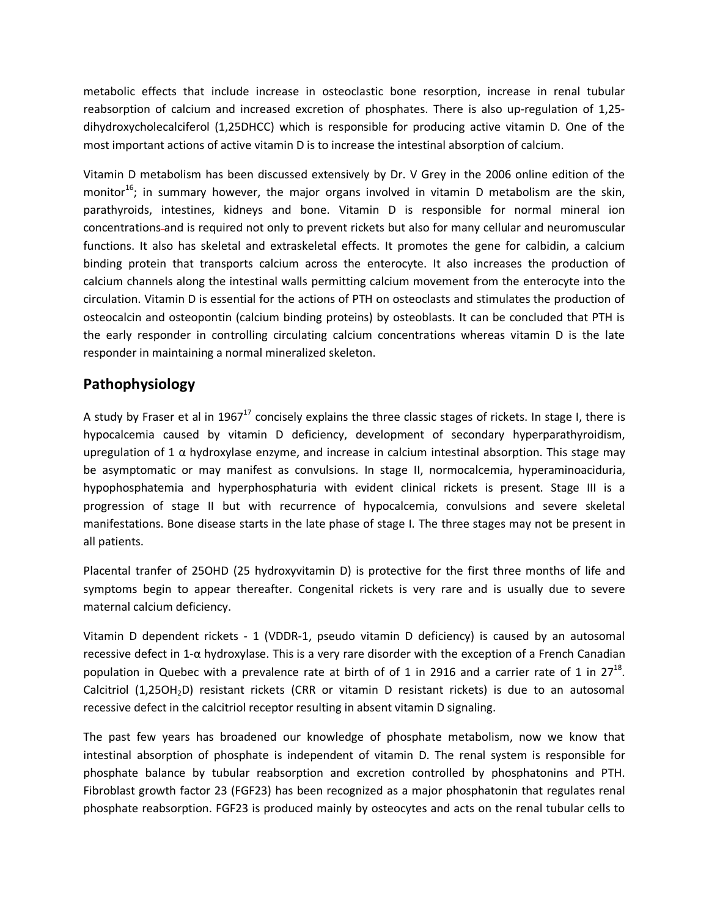metabolic effects that include increase in osteoclastic bone resorption, increase in renal tubular reabsorption of calcium and increased excretion of phosphates. There is also up-regulation of 1,25 dihydroxycholecalciferol (1,25DHCC) which is responsible for producing active vitamin D. One of the most important actions of active vitamin D is to increase the intestinal absorption of calcium.

Vitamin D metabolism has been discussed extensively by Dr. V Grey in the 2006 online edition of the monitor<sup>16</sup>; in summary however, the major organs involved in vitamin D metabolism are the skin, parathyroids, intestines, kidneys and bone. Vitamin D is responsible for normal mineral ion concentrations and is required not only to prevent rickets but also for many cellular and neuromuscular functions. It also has skeletal and extraskeletal effects. It promotes the gene for calbidin, a calcium binding protein that transports calcium across the enterocyte. It also increases the production of calcium channels along the intestinal walls permitting calcium movement from the enterocyte into the circulation. Vitamin D is essential for the actions of PTH on osteoclasts and stimulates the production of osteocalcin and osteopontin (calcium binding proteins) by osteoblasts. It can be concluded that PTH is the early responder in controlling circulating calcium concentrations whereas vitamin D is the late responder in maintaining a normal mineralized skeleton.

### **Pathophysiology**

A study by Fraser et al in 1967<sup>17</sup> concisely explains the three classic stages of rickets. In stage I, there is hypocalcemia caused by vitamin D deficiency, development of secondary hyperparathyroidism, upregulation of 1  $\alpha$  hydroxylase enzyme, and increase in calcium intestinal absorption. This stage may be asymptomatic or may manifest as convulsions. In stage II, normocalcemia, hyperaminoaciduria, hypophosphatemia and hyperphosphaturia with evident clinical rickets is present. Stage III is a progression of stage II but with recurrence of hypocalcemia, convulsions and severe skeletal manifestations. Bone disease starts in the late phase of stage I. The three stages may not be present in all patients.

Placental tranfer of 25OHD (25 hydroxyvitamin D) is protective for the first three months of life and symptoms begin to appear thereafter. Congenital rickets is very rare and is usually due to severe maternal calcium deficiency.

Vitamin D dependent rickets - 1 (VDDR-1, pseudo vitamin D deficiency) is caused by an autosomal recessive defect in 1-α hydroxylase. This is a very rare disorder with the exception of a French Canadian population in Quebec with a prevalence rate at birth of of 1 in 2916 and a carrier rate of 1 in  $27^{18}$ . Calcitriol (1,25OH<sub>2</sub>D) resistant rickets (CRR or vitamin D resistant rickets) is due to an autosomal recessive defect in the calcitriol receptor resulting in absent vitamin D signaling.

The past few years has broadened our knowledge of phosphate metabolism, now we know that intestinal absorption of phosphate is independent of vitamin D. The renal system is responsible for phosphate balance by tubular reabsorption and excretion controlled by phosphatonins and PTH. Fibroblast growth factor 23 (FGF23) has been recognized as a major phosphatonin that regulates renal phosphate reabsorption. FGF23 is produced mainly by osteocytes and acts on the renal tubular cells to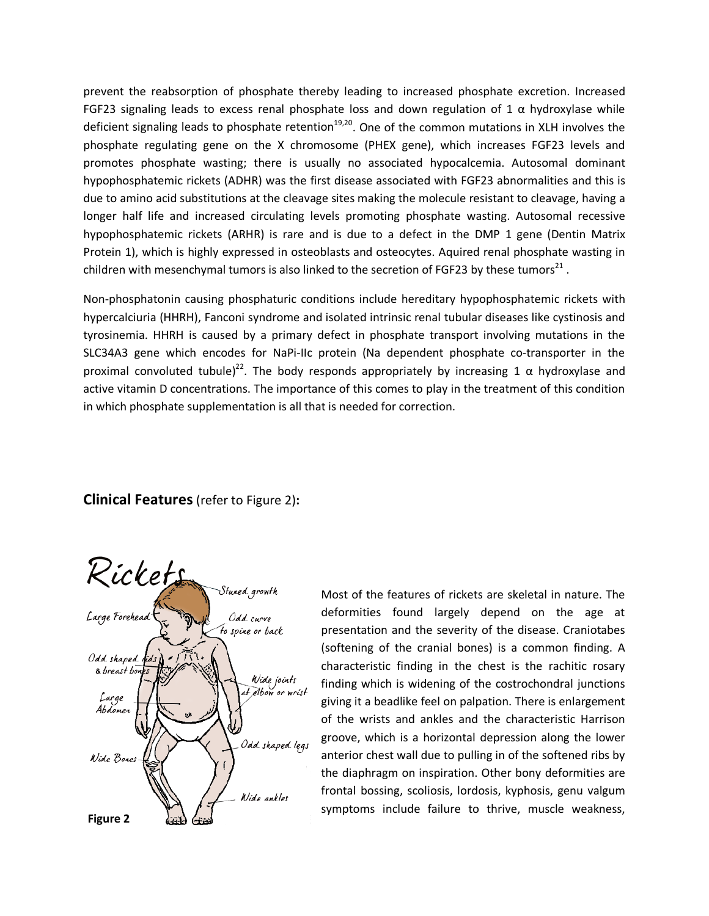prevent the reabsorption of phosphate thereby leading to increased phosphate excretion. Increased FGF23 signaling leads to excess renal phosphate loss and down regulation of 1  $\alpha$  hydroxylase while deficient signaling leads to phosphate retention<sup>19,20</sup>. One of the common mutations in XLH involves the phosphate regulating gene on the X chromosome (PHEX gene), which increases FGF23 levels and promotes phosphate wasting; there is usually no associated hypocalcemia. Autosomal dominant hypophosphatemic rickets (ADHR) was the first disease associated with FGF23 abnormalities and this is due to amino acid substitutions at the cleavage sites making the molecule resistant to cleavage, having a longer half life and increased circulating levels promoting phosphate wasting. Autosomal recessive hypophosphatemic rickets (ARHR) is rare and is due to a defect in the DMP 1 gene (Dentin Matrix Protein 1), which is highly expressed in osteoblasts and osteocytes. Aquired renal phosphate wasting in children with mesenchymal tumors is also linked to the secretion of FGF23 by these tumors $^{21}$ .

Non-phosphatonin causing phosphaturic conditions include hereditary hypophosphatemic rickets with hypercalciuria (HHRH), Fanconi syndrome and isolated intrinsic renal tubular diseases like cystinosis and tyrosinemia. HHRH is caused by a primary defect in phosphate transport involving mutations in the SLC34A3 gene which encodes for NaPi-IIc protein (Na dependent phosphate co-transporter in the proximal convoluted tubule)<sup>22</sup>. The body responds appropriately by increasing 1  $\alpha$  hydroxylase and active vitamin D concentrations. The importance of this comes to play in the treatment of this condition in which phosphate supplementation is all that is needed for correction.

#### **Clinical Features**(refer to Figure 2)**:**



Most of the features of rickets are skeletal in nature. The deformities found largely depend on the age at presentation and the severity of the disease. Craniotabes (softening of the cranial bones) is a common finding. A characteristic finding in the chest is the rachitic rosary finding which is widening of the costrochondral junctions giving it a beadlike feel on palpation. There is enlargement of the wrists and ankles and the characteristic Harrison groove, which is a horizontal depression along the lower anterior chest wall due to pulling in of the softened ribs by the diaphragm on inspiration. Other bony deformities are frontal bossing, scoliosis, lordosis, kyphosis, genu valgum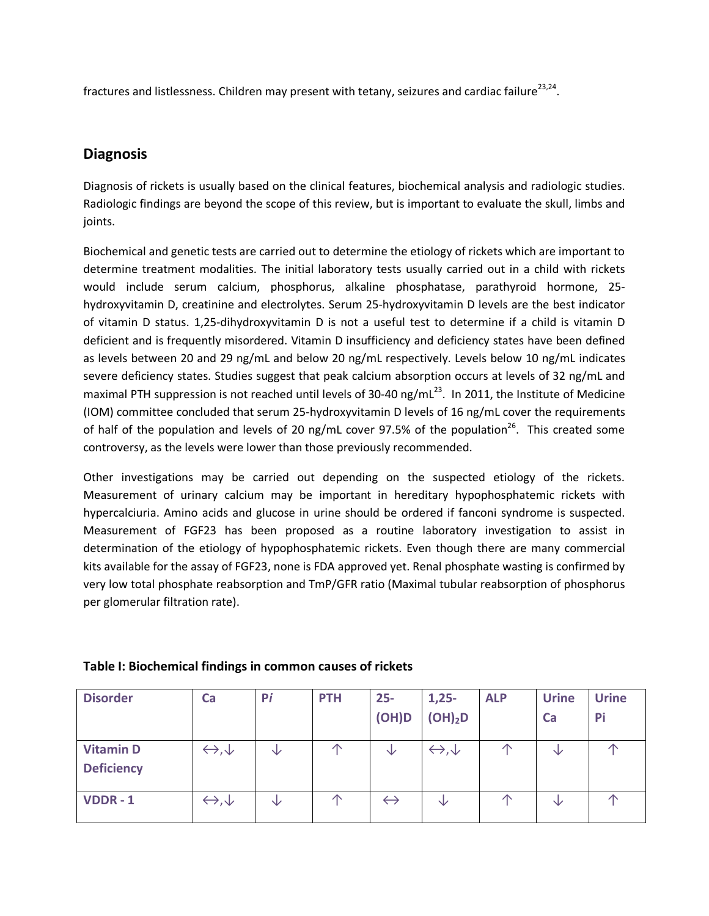fractures and listlessness. Children may present with tetany, seizures and cardiac failure<sup>23,24</sup>.

### **Diagnosis**

Diagnosis of rickets is usually based on the clinical features, biochemical analysis and radiologic studies. Radiologic findings are beyond the scope of this review, but is important to evaluate the skull, limbs and joints.

Biochemical and genetic tests are carried out to determine the etiology of rickets which are important to determine treatment modalities. The initial laboratory tests usually carried out in a child with rickets would include serum calcium, phosphorus, alkaline phosphatase, parathyroid hormone, 25 hydroxyvitamin D, creatinine and electrolytes. Serum 25-hydroxyvitamin D levels are the best indicator of vitamin D status. 1,25-dihydroxyvitamin D is not a useful test to determine if a child is vitamin D deficient and is frequently misordered. Vitamin D insufficiency and deficiency states have been defined as levels between 20 and 29 ng/mL and below 20 ng/mL respectively. Levels below 10 ng/mL indicates severe deficiency states. Studies suggest that peak calcium absorption occurs at levels of 32 ng/mL and maximal PTH suppression is not reached until levels of 30-40 ng/mL<sup>23</sup>. In 2011, the Institute of Medicine (IOM) committee concluded that serum 25-hydroxyvitamin D levels of 16 ng/mL cover the requirements of half of the population and levels of 20 ng/mL cover 97.5% of the population<sup>26</sup>. This created some controversy, as the levels were lower than those previously recommended.

Other investigations may be carried out depending on the suspected etiology of the rickets. Measurement of urinary calcium may be important in hereditary hypophosphatemic rickets with hypercalciuria. Amino acids and glucose in urine should be ordered if fanconi syndrome is suspected. Measurement of FGF23 has been proposed as a routine laboratory investigation to assist in determination of the etiology of hypophosphatemic rickets. Even though there are many commercial kits available for the assay of FGF23, none is FDA approved yet. Renal phosphate wasting is confirmed by very low total phosphate reabsorption and TmP/GFR ratio (Maximal tubular reabsorption of phosphorus per glomerular filtration rate).

| <b>Disorder</b>                       | Ca                               | Pi | <b>PTH</b> | $25 -$<br>(OH)D   | $1,25-$<br>(OH) <sub>2</sub> D | <b>ALP</b> | <b>Urine</b><br>Ca | <b>Urine</b><br>Pi |
|---------------------------------------|----------------------------------|----|------------|-------------------|--------------------------------|------------|--------------------|--------------------|
| <b>Vitamin D</b><br><b>Deficiency</b> | $\leftrightarrow$ , $\downarrow$ | ∿  |            | ∿                 | $\leftrightarrow, \downarrow$  | ∧          | ◡                  | ZP                 |
| <b>VDDR-1</b>                         | $\leftrightarrow, \downarrow$    | V  | 个          | $\leftrightarrow$ | V                              | ∧          | ∿                  | ↗                  |

#### **Table I: Biochemical findings in common causes of rickets**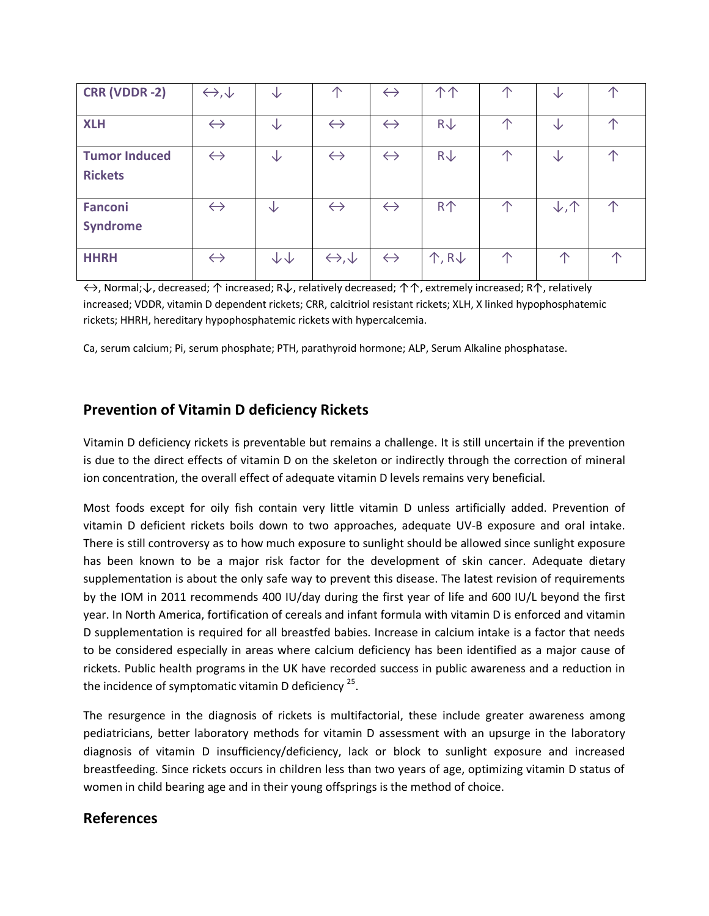| <b>CRR (VDDR-2)</b>                    | $\leftrightarrow, \downarrow$ | ↓                      | 本                             | $\leftrightarrow$ | 个个                          | 个 | ∿                         | ∧ |
|----------------------------------------|-------------------------------|------------------------|-------------------------------|-------------------|-----------------------------|---|---------------------------|---|
| <b>XLH</b>                             | $\leftrightarrow$             | ∿                      | $\leftrightarrow$             | $\leftrightarrow$ | $R\downarrow$               | ∧ | ◡                         | 个 |
| <b>Tumor Induced</b><br><b>Rickets</b> | $\leftrightarrow$             | ∿                      | $\leftrightarrow$             | $\leftrightarrow$ | $R\downarrow$               | ∧ | ◡                         | 个 |
| <b>Fanconi</b><br><b>Syndrome</b>      | $\leftrightarrow$             | ◡                      | $\leftrightarrow$             | $\leftrightarrow$ | <b>R个</b>                   | 个 | $\downarrow$ , $\uparrow$ | 个 |
| <b>HHRH</b>                            | $\leftrightarrow$             | $\downarrow\downarrow$ | $\leftrightarrow, \downarrow$ | $\leftrightarrow$ | $\uparrow$ , R $\downarrow$ | 个 | 本                         | ∧ |

↔, Normal;↓, decreased; ↑ increased; R↓, relatively decreased; ↑↑, extremely increased; R↑, relatively increased; VDDR, vitamin D dependent rickets; CRR, calcitriol resistant rickets; XLH, X linked hypophosphatemic rickets; HHRH, hereditary hypophosphatemic rickets with hypercalcemia.

Ca, serum calcium; Pi, serum phosphate; PTH, parathyroid hormone; ALP, Serum Alkaline phosphatase.

### **Prevention of Vitamin D deficiency Rickets**

Vitamin D deficiency rickets is preventable but remains a challenge. It is still uncertain if the prevention is due to the direct effects of vitamin D on the skeleton or indirectly through the correction of mineral ion concentration, the overall effect of adequate vitamin D levels remains very beneficial.

Most foods except for oily fish contain very little vitamin D unless artificially added. Prevention of vitamin D deficient rickets boils down to two approaches, adequate UV-B exposure and oral intake. There is still controversy as to how much exposure to sunlight should be allowed since sunlight exposure has been known to be a major risk factor for the development of skin cancer. Adequate dietary supplementation is about the only safe way to prevent this disease. The latest revision of requirements by the IOM in 2011 recommends 400 IU/day during the first year of life and 600 IU/L beyond the first year. In North America, fortification of cereals and infant formula with vitamin D is enforced and vitamin D supplementation is required for all breastfed babies. Increase in calcium intake is a factor that needs to be considered especially in areas where calcium deficiency has been identified as a major cause of rickets. Public health programs in the UK have recorded success in public awareness and a reduction in the incidence of symptomatic vitamin D deficiency  $25$ .

The resurgence in the diagnosis of rickets is multifactorial, these include greater awareness among pediatricians, better laboratory methods for vitamin D assessment with an upsurge in the laboratory diagnosis of vitamin D insufficiency/deficiency, lack or block to sunlight exposure and increased breastfeeding. Since rickets occurs in children less than two years of age, optimizing vitamin D status of women in child bearing age and in their young offsprings is the method of choice.

#### **References**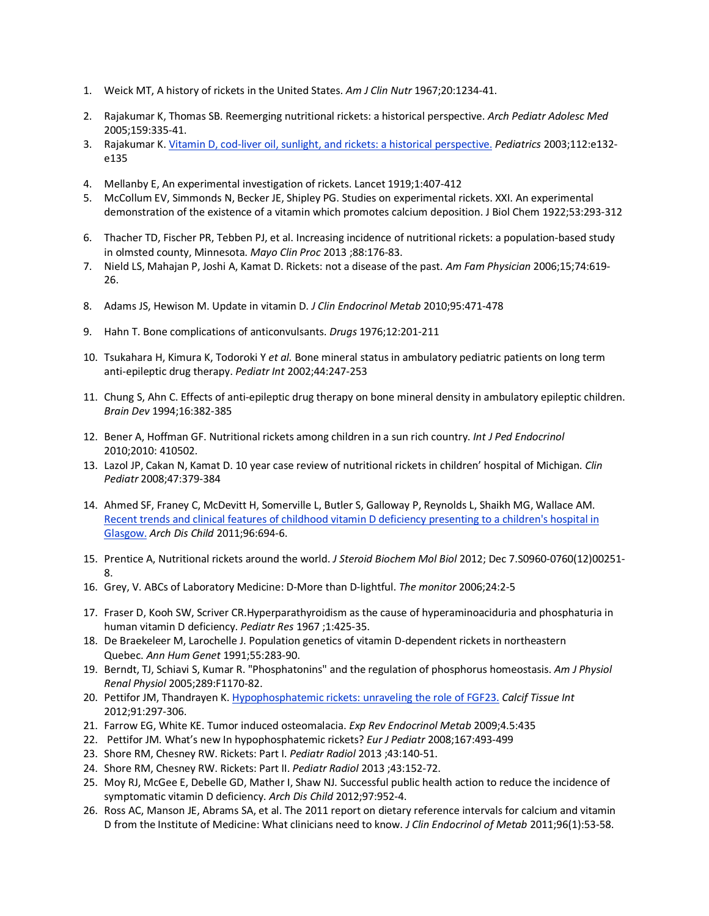- 1. Weick MT[, A history of rickets in the United States.](http://www.ncbi.nlm.nih.gov/pubmed/4862158) *Am J Clin Nutr* 1967;20:1234-41.
- 2. [Rajakumar K,](http://www.ncbi.nlm.nih.gov/pubmed?term=Rajakumar%20K%5BAuthor%5D&cauthor=true&cauthor_uid=15809385) [Thomas SB.](http://www.ncbi.nlm.nih.gov/pubmed?term=Thomas%20SB%5BAuthor%5D&cauthor=true&cauthor_uid=15809385) Reemerging nutritional rickets: a historical perspective. *[Arch Pediatr Adolesc Med](http://www.ncbi.nlm.nih.gov/pubmed/15809385)* 2005;159:335-41.
- 3. Rajakumar K[. Vitamin D, cod-liver oil, sunlight, and rickets: a historical perspective.](http://www.ncbi.nlm.nih.gov/pubmed/12897318) *Pediatrics* 2003;112:e132 e135
- 4. Mellanby E, An experimental investigation of rickets. Lancet 1919;1:407-412
- 5. McCollum EV, Simmonds N, Becker JE, Shipley PG. Studies on experimental rickets. XXI. An experimental demonstration of the existence of a vitamin which promotes calcium deposition. J Biol Chem 1922;53:293-312
- 6. Thacher TD, Fischer PR, Tebben PJ, et al[. Increasing incidence of nutritional rickets: a population-based study](http://www.ncbi.nlm.nih.gov/pubmed/23374621)  [in olmsted county, Minnesota.](http://www.ncbi.nlm.nih.gov/pubmed/23374621) *Mayo Clin Proc* 2013 ;88:176-83.
- 7. Nield LS, Mahajan P, Joshi A, Kamat D. [Rickets: not a disease of the past.](http://www.ncbi.nlm.nih.gov/pubmed/16939184) *Am Fam Physician* 2006;15;74:619- 26.
- 8. Adams JS, Hewison M. Update in vitamin D. *J Clin Endocrinol Metab* 2010;95:471-478
- 9. Hahn T. Bone complications of anticonvulsants. *Drugs* 1976;12:201-211
- 10. Tsukahara H, Kimura K, Todoroki Y *et al.* Bone mineral status in ambulatory pediatric patients on long term anti-epileptic drug therapy. *Pediatr Int* 2002;44:247-253
- 11. Chung S, Ahn C. Effects of anti-epileptic drug therapy on bone mineral density in ambulatory epileptic children. *Brain Dev* 1994;16:382-385
- 12. Bener A, Hoffman GF. Nutritional rickets among children in a sun rich country. *Int J Ped Endocrinol* 2010;2010: 410502.
- 13. Lazol JP, Cakan N, Kamat D. 10 year case review of nutritional rickets in children' hospital of Michigan. *Clin Pediatr* 2008;47:379-384
- 14. Ahmed SF, Franey C, McDevitt H, Somerville L, Butler S, Galloway P, Reynolds L, Shaikh MG, Wallace AM. [Recent trends and clinical features of childhood vitamin D deficiency presenting to a children's hospital in](http://www.ncbi.nlm.nih.gov/pubmed/20584848)  [Glasgow.](http://www.ncbi.nlm.nih.gov/pubmed/20584848) *Arch Dis Child* 2011;96:694-6.
- 15. Prentice A, Nutritional rickets around the world. *J Steroid Biochem Mol Biol* 2012; Dec 7.S0960-0760(12)00251- 8.
- 16. Grey, V. ABCs of Laboratory Medicine: D-More than D-lightful. *The monitor* 2006;24:2-5
- 17. Fraser D, Kooh SW, Scriver CR.Hyperparathyroidism as the cause of hyperaminoaciduria and phosphaturia in human vitamin D deficiency. *Pediatr Res* 1967 ;1:425-35.
- 18. [De Braekeleer M,](http://www.ncbi.nlm.nih.gov/pubmed?term=De%20Braekeleer%20M%5BAuthor%5D&cauthor=true&cauthor_uid=1687883) [Larochelle J.](http://www.ncbi.nlm.nih.gov/pubmed?term=Larochelle%20J%5BAuthor%5D&cauthor=true&cauthor_uid=1687883) Population genetics of vitamin D-dependent rickets in northeastern Quebec. *[Ann Hum Genet](http://www.ncbi.nlm.nih.gov/pubmed/1687883?dopt=Abstract&holding=npg)* 1991;55:283-90.
- 19. Berndt, TJ, Schiavi S, Kumar R[. "Phosphatonins" and the regulation of phosphorus homeostasis.](http://www.ncbi.nlm.nih.gov/pubmed/16275744) *Am J Physiol Renal Physiol* 2005;289:F1170-82.
- 20. Pettifor JM, Thandrayen K[. Hypophosphatemic rickets: unraveling the role of FGF23.](http://www.ncbi.nlm.nih.gov/pubmed/23001439) *Calcif Tissue Int* 2012;91:297-306.
- 21. Farrow EG, White KE. Tumor induced osteomalacia. *Exp Rev Endocrinol Metab* 2009;4.5:435
- 22. Pettifor JM. What's new In hypophosphatemic rickets? *Eur J Pediatr* 2008;167:493-499
- 23. Shore RM, Chesney RW. Rickets: Part I. *Pediatr Radiol* 2013 ;43:140-51.
- 24. Shore RM, Chesney RW[. Rickets: Part II.](http://www.ncbi.nlm.nih.gov/pubmed/23179485) *Pediatr Radiol* 2013 ;43:152-72.
- 25. Moy RJ, McGee E, Debelle GD, Mather I, Shaw NJ[. Successful public health action to reduce the incidence of](http://www.ncbi.nlm.nih.gov/pubmed/22913973)  [symptomatic vitamin D deficiency.](http://www.ncbi.nlm.nih.gov/pubmed/22913973) *Arch Dis Child* 2012;97:952-4.
- 26. Ross AC, Manson JE, Abrams SA, et al. The 2011 report on dietary reference intervals for calcium and vitamin D from the Institute of Medicine: What clinicians need to know. *J Clin Endocrinol of Metab* 2011;96(1):53-58.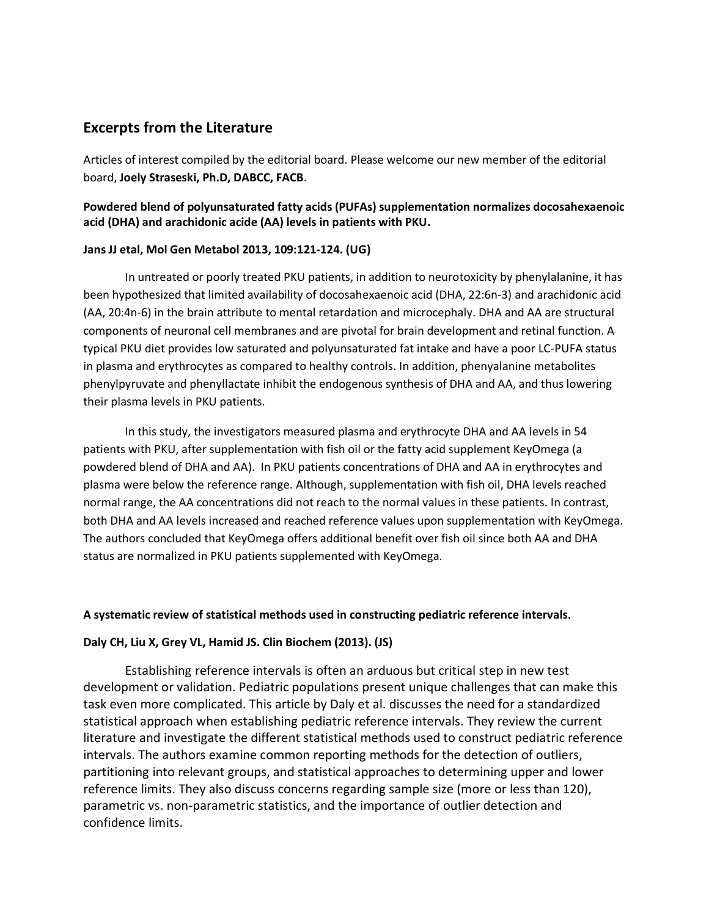### **Excerpts from the Literature**

Articles of interest compiled by the editorial board. Please welcome our new member of the editorial board, **Joely Straseski, Ph.D, DABCC, FACB**.

#### **Powdered blend of polyunsaturated fatty acids (PUFAs) supplementation normalizes docosahexaenoic acid (DHA) and arachidonic acide (AA) levels in patients with PKU.**

#### **Jans JJ etal, Mol Gen Metabol 2013, 109:121-124. (UG)**

In untreated or poorly treated PKU patients, in addition to neurotoxicity by phenylalanine, it has been hypothesized that limited availability of docosahexaenoic acid (DHA, 22:6n-3) and arachidonic acid (AA, 20:4n-6) in the brain attribute to mental retardation and microcephaly. DHA and AA are structural components of neuronal cell membranes and are pivotal for brain development and retinal function. A typical PKU diet provides low saturated and polyunsaturated fat intake and have a poor LC-PUFA status in plasma and erythrocytes as compared to healthy controls. In addition, phenyalanine metabolites phenylpyruvate and phenyllactate inhibit the endogenous synthesis of DHA and AA, and thus lowering their plasma levels in PKU patients.

In this study, the investigators measured plasma and erythrocyte DHA and AA levels in 54 patients with PKU, after supplementation with fish oil or the fatty acid supplement KeyOmega (a powdered blend of DHA and AA). In PKU patients concentrations of DHA and AA in erythrocytes and plasma were below the reference range. Although, supplementation with fish oil, DHA levels reached normal range, the AA concentrations did not reach to the normal values in these patients. In contrast, both DHA and AA levels increased and reached reference values upon supplementation with KeyOmega. The authors concluded that KeyOmega offers additional benefit over fish oil since both AA and DHA status are normalized in PKU patients supplemented with KeyOmega.

#### **A systematic review of statistical methods used in constructing pediatric reference intervals.**

#### **Daly CH, Liu X, Grey VL, Hamid JS. Clin Biochem (2013). (JS)**

Establishing reference intervals is often an arduous but critical step in new test development or validation. Pediatric populations present unique challenges that can make this task even more complicated. This article by Daly et al. discusses the need for a standardized statistical approach when establishing pediatric reference intervals. They review the current literature and investigate the different statistical methods used to construct pediatric reference intervals. The authors examine common reporting methods for the detection of outliers, partitioning into relevant groups, and statistical approaches to determining upper and lower reference limits. They also discuss concerns regarding sample size (more or less than 120), parametric vs. non-parametric statistics, and the importance of outlier detection and confidence limits.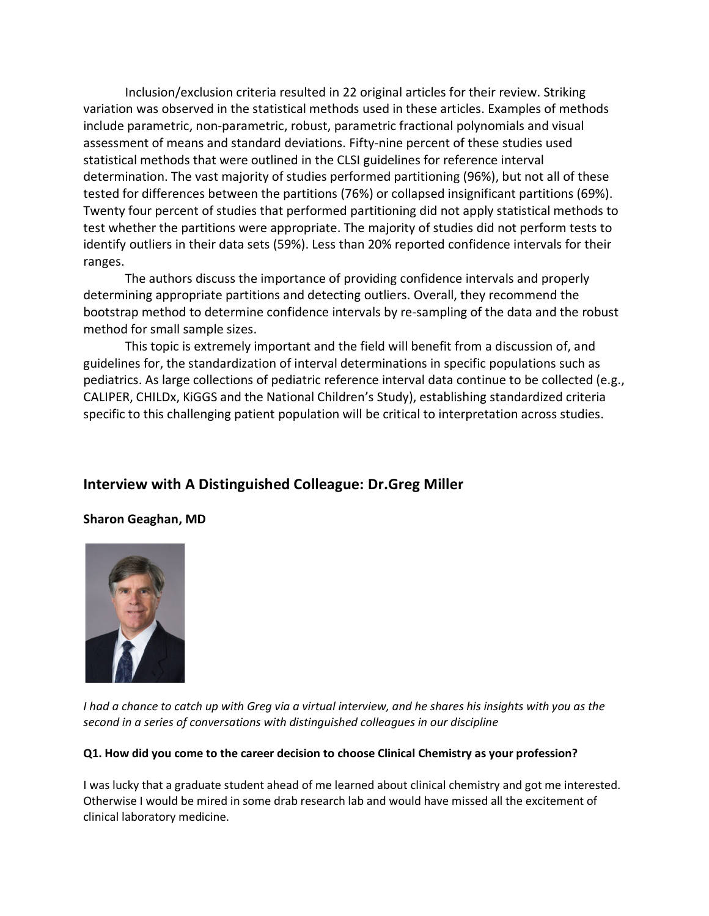Inclusion/exclusion criteria resulted in 22 original articles for their review. Striking variation was observed in the statistical methods used in these articles. Examples of methods include parametric, non-parametric, robust, parametric fractional polynomials and visual assessment of means and standard deviations. Fifty-nine percent of these studies used statistical methods that were outlined in the CLSI guidelines for reference interval determination. The vast majority of studies performed partitioning (96%), but not all of these tested for differences between the partitions (76%) or collapsed insignificant partitions (69%). Twenty four percent of studies that performed partitioning did not apply statistical methods to test whether the partitions were appropriate. The majority of studies did not perform tests to identify outliers in their data sets (59%). Less than 20% reported confidence intervals for their ranges.

The authors discuss the importance of providing confidence intervals and properly determining appropriate partitions and detecting outliers. Overall, they recommend the bootstrap method to determine confidence intervals by re-sampling of the data and the robust method for small sample sizes.

This topic is extremely important and the field will benefit from a discussion of, and guidelines for, the standardization of interval determinations in specific populations such as pediatrics. As large collections of pediatric reference interval data continue to be collected (e.g., CALIPER, CHILDx, KiGGS and the National Children's Study), establishing standardized criteria specific to this challenging patient population will be critical to interpretation across studies.

### **Interview with A Distinguished Colleague: Dr.Greg Miller**

### **Sharon Geaghan, MD**



*I had a chance to catch up with Greg via a virtual interview, and he shares his insights with you as the second in a series of conversations with distinguished colleagues in our discipline*

#### **Q1. How did you come to the career decision to choose Clinical Chemistry as your profession?**

I was lucky that a graduate student ahead of me learned about clinical chemistry and got me interested. Otherwise I would be mired in some drab research lab and would have missed all the excitement of clinical laboratory medicine.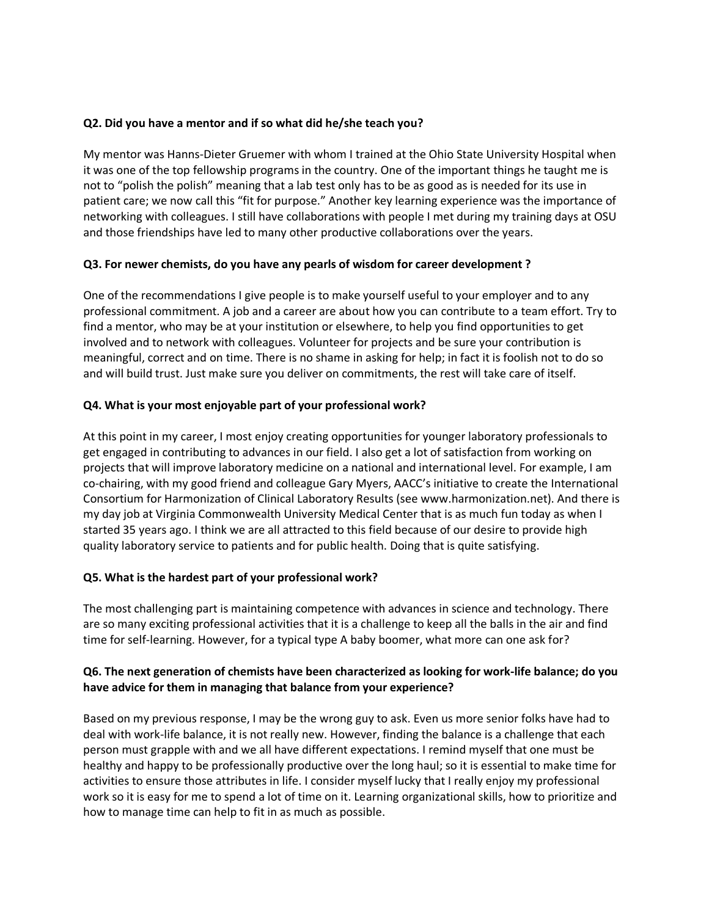#### **Q2. Did you have a mentor and if so what did he/she teach you?**

My mentor was Hanns-Dieter Gruemer with whom I trained at the Ohio State University Hospital when it was one of the top fellowship programs in the country. One of the important things he taught me is not to "polish the polish" meaning that a lab test only has to be as good as is needed for its use in patient care; we now call this "fit for purpose." Another key learning experience was the importance of networking with colleagues. I still have collaborations with people I met during my training days at OSU and those friendships have led to many other productive collaborations over the years.

#### **Q3. For newer chemists, do you have any pearls of wisdom for career development ?**

One of the recommendations I give people is to make yourself useful to your employer and to any professional commitment. A job and a career are about how you can contribute to a team effort. Try to find a mentor, who may be at your institution or elsewhere, to help you find opportunities to get involved and to network with colleagues. Volunteer for projects and be sure your contribution is meaningful, correct and on time. There is no shame in asking for help; in fact it is foolish not to do so and will build trust. Just make sure you deliver on commitments, the rest will take care of itself.

#### **Q4. What is your most enjoyable part of your professional work?**

At this point in my career, I most enjoy creating opportunities for younger laboratory professionals to get engaged in contributing to advances in our field. I also get a lot of satisfaction from working on projects that will improve laboratory medicine on a national and international level. For example, I am co-chairing, with my good friend and colleague Gary Myers, AACC's initiative to create the International Consortium for Harmonization of Clinical Laboratory Results (see www.harmonization.net). And there is my day job at Virginia Commonwealth University Medical Center that is as much fun today as when I started 35 years ago. I think we are all attracted to this field because of our desire to provide high quality laboratory service to patients and for public health. Doing that is quite satisfying.

#### **Q5. What is the hardest part of your professional work?**

The most challenging part is maintaining competence with advances in science and technology. There are so many exciting professional activities that it is a challenge to keep all the balls in the air and find time for self-learning. However, for a typical type A baby boomer, what more can one ask for?

#### **Q6. The next generation of chemists have been characterized as looking for work-life balance; do you have advice for them in managing that balance from your experience?**

Based on my previous response, I may be the wrong guy to ask. Even us more senior folks have had to deal with work-life balance, it is not really new. However, finding the balance is a challenge that each person must grapple with and we all have different expectations. I remind myself that one must be healthy and happy to be professionally productive over the long haul; so it is essential to make time for activities to ensure those attributes in life. I consider myself lucky that I really enjoy my professional work so it is easy for me to spend a lot of time on it. Learning organizational skills, how to prioritize and how to manage time can help to fit in as much as possible.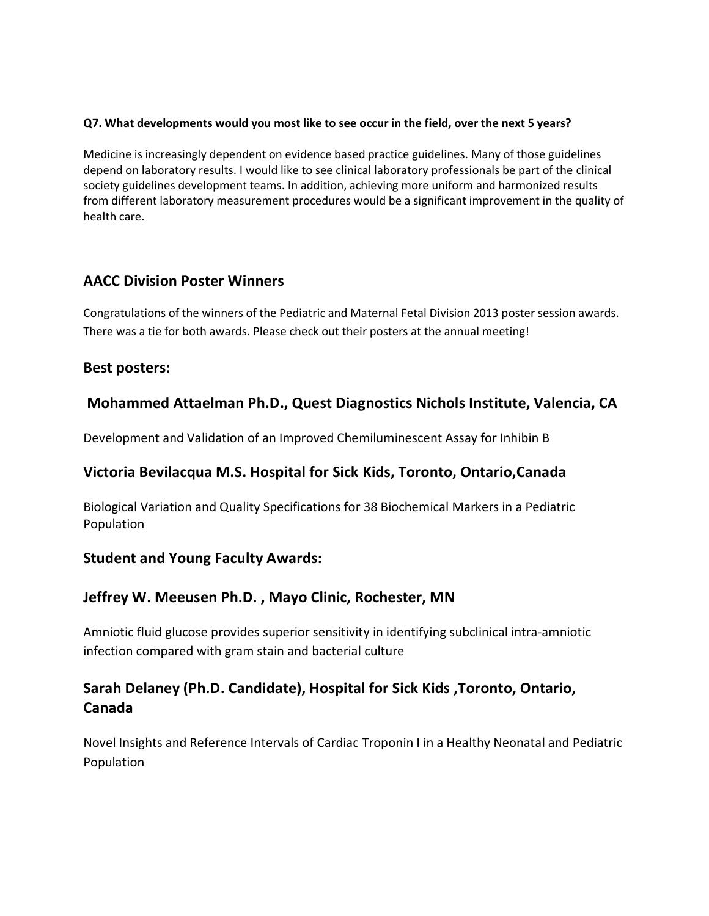#### **Q7. What developments would you most like to see occur in the field, over the next 5 years?**

Medicine is increasingly dependent on evidence based practice guidelines. Many of those guidelines depend on laboratory results. I would like to see clinical laboratory professionals be part of the clinical society guidelines development teams. In addition, achieving more uniform and harmonized results from different laboratory measurement procedures would be a significant improvement in the quality of health care.

### **AACC Division Poster Winners**

Congratulations of the winners of the Pediatric and Maternal Fetal Division 2013 poster session awards. There was a tie for both awards. Please check out their posters at the annual meeting!

### **Best posters:**

### **Mohammed Attaelman Ph.D., Quest Diagnostics Nichols Institute, Valencia, CA**

Development and Validation of an Improved Chemiluminescent Assay for Inhibin B

### **Victoria Bevilacqua M.S. Hospital for Sick Kids, Toronto, Ontario,Canada**

Biological Variation and Quality Specifications for 38 Biochemical Markers in a Pediatric Population

### **Student and Young Faculty Awards:**

### **Jeffrey W. Meeusen Ph.D. , Mayo Clinic, Rochester, MN**

Amniotic fluid glucose provides superior sensitivity in identifying subclinical intra-amniotic infection compared with gram stain and bacterial culture

# **Sarah Delaney (Ph.D. Candidate), Hospital for Sick Kids ,Toronto, Ontario, Canada**

Novel Insights and Reference Intervals of Cardiac Troponin I in a Healthy Neonatal and Pediatric Population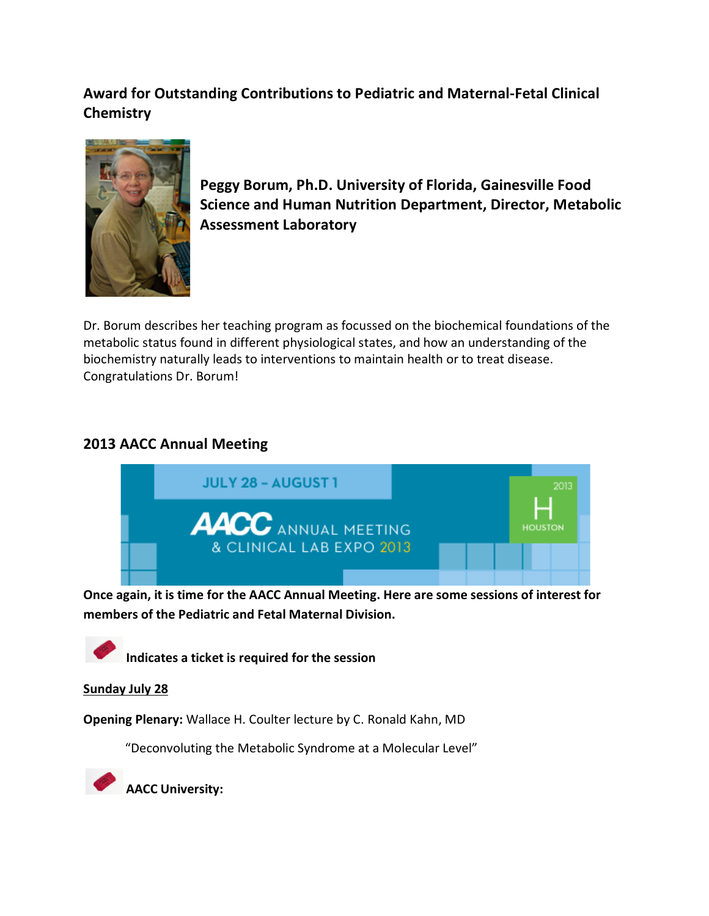# **Award for Outstanding Contributions to Pediatric and Maternal-Fetal Clinical Chemistry**



**Peggy Borum, Ph.D. University of Florida, Gainesville Food Science and Human Nutrition Department, Director, Metabolic Assessment Laboratory**

Dr. Borum describes her teaching program as focussed on the biochemical foundations of the metabolic status found in different physiological states, and how an understanding of the biochemistry naturally leads to interventions to maintain health or to treat disease. Congratulations Dr. Borum!

# **2013 AACC Annual Meeting**



**Once again, it is time for the AACC Annual Meeting. Here are some sessions of interest for members of the Pediatric and Fetal Maternal Division.**

**Indicates a ticket is required for the session**

### **Sunday July 28**

**Opening Plenary:** Wallace H. Coulter lecture by C. Ronald Kahn, MD

"Deconvoluting the Metabolic Syndrome at a Molecular Level"

**AACC University:**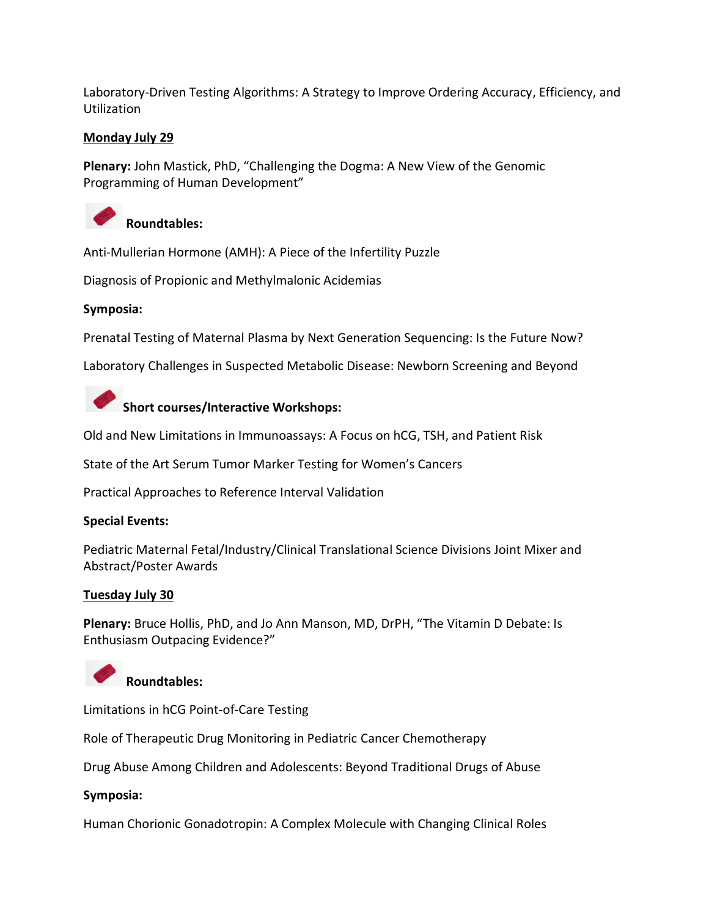Laboratory-Driven Testing Algorithms: A Strategy to Improve Ordering Accuracy, Efficiency, and Utilization

#### **Monday July 29**

**Plenary:** John Mastick, PhD, "Challenging the Dogma: A New View of the Genomic Programming of Human Development"



### **Roundtables:**

Anti-Mullerian Hormone (AMH): A Piece of the Infertility Puzzle

Diagnosis of Propionic and Methylmalonic Acidemias

#### **Symposia:**

Prenatal Testing of Maternal Plasma by Next Generation Sequencing: Is the Future Now?

Laboratory Challenges in Suspected Metabolic Disease: Newborn Screening and Beyond



Old and New Limitations in Immunoassays: A Focus on hCG, TSH, and Patient Risk

State of the Art Serum Tumor Marker Testing for Women's Cancers

Practical Approaches to Reference Interval Validation

#### **Special Events:**

Pediatric Maternal Fetal/Industry/Clinical Translational Science Divisions Joint Mixer and Abstract/Poster Awards

#### **Tuesday July 30**

**Plenary:** Bruce Hollis, PhD, and Jo Ann Manson, MD, DrPH, "The Vitamin D Debate: Is Enthusiasm Outpacing Evidence?"



**Roundtables:**

Limitations in hCG Point-of-Care Testing

Role of Therapeutic Drug Monitoring in Pediatric Cancer Chemotherapy

Drug Abuse Among Children and Adolescents: Beyond Traditional Drugs of Abuse

### **Symposia:**

Human Chorionic Gonadotropin: A Complex Molecule with Changing Clinical Roles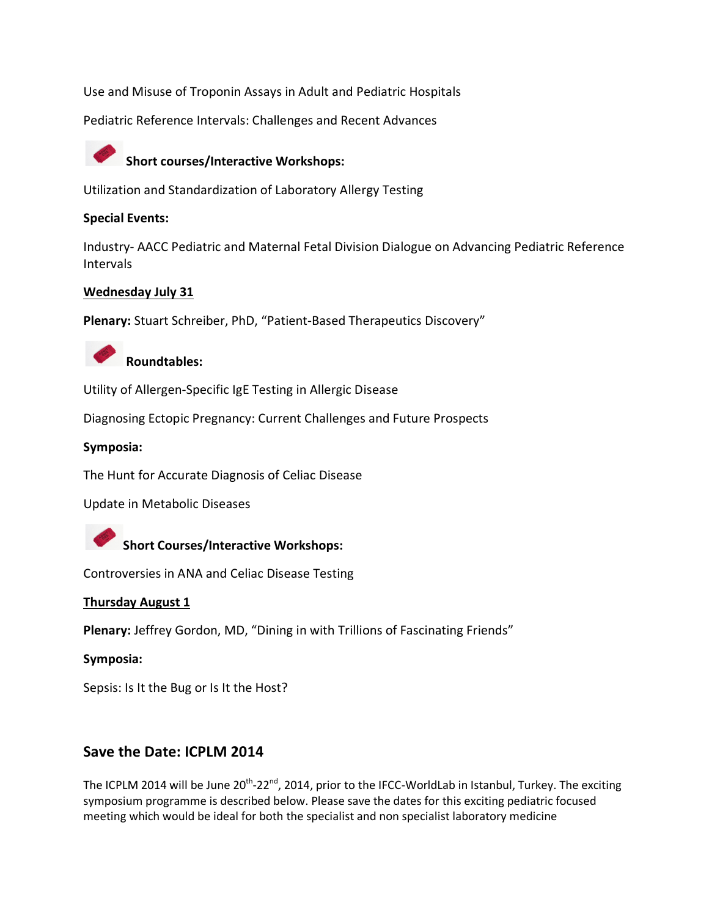Use and Misuse of Troponin Assays in Adult and Pediatric Hospitals

Pediatric Reference Intervals: Challenges and Recent Advances



# **Short courses/Interactive Workshops:**

Utilization and Standardization of Laboratory Allergy Testing

#### **Special Events:**

Industry- AACC Pediatric and Maternal Fetal Division Dialogue on Advancing Pediatric Reference Intervals

#### **Wednesday July 31**

**Plenary:** Stuart Schreiber, PhD, "Patient-Based Therapeutics Discovery"



# **Roundtables:**

Utility of Allergen-Specific IgE Testing in Allergic Disease

Diagnosing Ectopic Pregnancy: Current Challenges and Future Prospects

#### **Symposia:**

The Hunt for Accurate Diagnosis of Celiac Disease

Update in Metabolic Diseases



Controversies in ANA and Celiac Disease Testing

#### **Thursday August 1**

**Plenary:** Jeffrey Gordon, MD, "Dining in with Trillions of Fascinating Friends"

#### **Symposia:**

Sepsis: Is It the Bug or Is It the Host?

### **Save the Date: ICPLM 2014**

The ICPLM 2014 will be June 20<sup>th</sup>-22<sup>nd</sup>, 2014, prior to the IFCC-WorldLab in Istanbul, Turkey. The exciting symposium programme is described below. Please save the dates for this exciting pediatric focused meeting which would be ideal for both the specialist and non specialist laboratory medicine